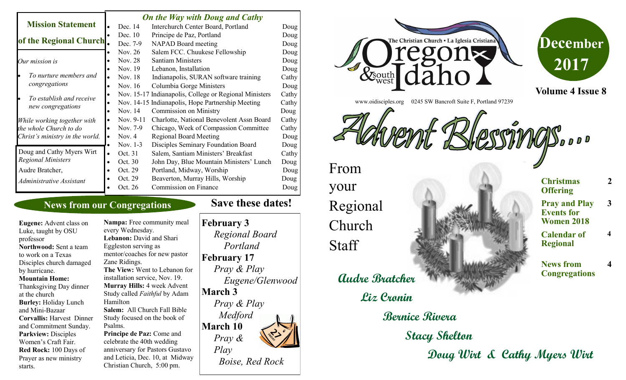|                                                                                          | <b>On the Way with Doug and Cathy</b> |           |                                                        |       |
|------------------------------------------------------------------------------------------|---------------------------------------|-----------|--------------------------------------------------------|-------|
| <b>Mission Statement</b>                                                                 |                                       | Dec. 14   | Interchurch Center Board, Portland                     | Doug  |
| of the Regional Church.                                                                  |                                       | Dec. $10$ | Principe de Paz, Portland                              | Doug  |
|                                                                                          |                                       | Dec. 7-9  | <b>NAPAD</b> Board meeting                             | Doug  |
|                                                                                          |                                       | Nov. 26   | Salem FCC. Chuukese Fellowship                         | Doug  |
| Our mission is                                                                           |                                       | Nov. 28   | <b>Santiam Ministers</b>                               | Doug  |
| To nurture members and<br>congregations                                                  |                                       | Nov. 19   | Lebanon, Installation                                  | Doug  |
|                                                                                          | $\bullet$                             | Nov. 18   | Indianapolis, SURAN software training                  | Cathy |
|                                                                                          |                                       | Nov. 16   | Columbia Gorge Ministers                               | Doug  |
| To establish and receive<br>new congregations                                            |                                       |           | Nov. 15-17 Indianapolis, College or Regional Ministers | Cathy |
|                                                                                          |                                       |           | Nov. 14-15 Indianapolis, Hope Partnership Meeting      | Cathy |
|                                                                                          |                                       | Nov. 14   | <b>Commission on Ministry</b>                          | Doug  |
| While working together with<br>the whole Church to do<br>Christ's ministry in the world. |                                       | Nov. 9-11 | Charlotte, National Benevolent Assn Board              | Cathy |
|                                                                                          |                                       | Nov. 7-9  | Chicago, Week of Compassion Committee                  | Cathy |
|                                                                                          |                                       | Nov. $4$  | <b>Regional Board Meeting</b>                          | Doug  |
|                                                                                          |                                       | Nov. 1-3  | Disciples Seminary Foundation Board                    | Doug  |
| Doug and Cathy Myers Wirt                                                                |                                       | Oct. 31   | Salem, Santiam Ministers' Breakfast                    | Cathy |
| <b>Regional Ministers</b>                                                                |                                       | Oct. 30   | John Day, Blue Mountain Ministers' Lunch               | Doug  |
| Audre Bratcher,                                                                          |                                       | Oct. 29   | Portland, Midway, Worship                              | Doug  |
| Administrative Assistant                                                                 |                                       | Oct. 29   | Beaverton, Murray Hills, Worship                       | Doug  |
|                                                                                          |                                       | Oct. 26   | Commission on Finance                                  | Doug  |

## **News from our Congregations**

**Eugene:** Advent class on Luke, taught by OSU professor **Northwood:** Sent a team to work on a Texas Disciples church damaged by hurricane. **Mountain Home:**  Thanksgiving Day dinner at the church **Burley:** Holiday Lunch and Mini-Bazaar **Corvallis:** Harvest Dinner and Commitment Sunday. **Parkview:** Disciples Women's Craft Fair. **Red Rock:** 100 Days of Prayer as new ministry starts.

**Nampa:** Free community meal every Wednesday. **Lebanon:** David and Shari Eggleston serving as mentor/coaches for new pastor Zane Ridings. **The View:** Went to Lebanon for installation service, Nov. 19. **Murray Hills:** 4 week Advent Study called *Faithful* by Adam Hamilton **Salem:** All Church Fall Bible Study focused on the book of Psalms. **Principe de Paz:** Come and celebrate the 40th wedding anniversary for Pastors Gustavo and Leticia, Dec. 10, at Midway

Christian Church, 5:00 pm.

**February 3**  *Regional Board Portland* **February 17**  *Pray & Play Eugene/Glenwood* **March 3**  *Pray & Play Medford* **March 10**  *Pray & Play Boise, Red Rock*

**Save these dates!**